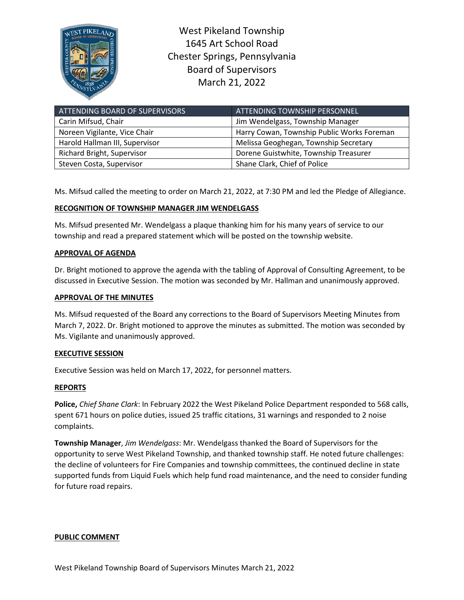

West Pikeland Township 1645 Art School Road Chester Springs, Pennsylvania Board of Supervisors March 21, 2022

| ATTENDING BOARD OF SUPERVISORS | ATTENDING TOWNSHIP PERSONNEL               |
|--------------------------------|--------------------------------------------|
| Carin Mifsud, Chair            | Jim Wendelgass, Township Manager           |
| Noreen Vigilante, Vice Chair   | Harry Cowan, Township Public Works Foreman |
| Harold Hallman III, Supervisor | Melissa Geoghegan, Township Secretary      |
| Richard Bright, Supervisor     | Dorene Guistwhite, Township Treasurer      |
| Steven Costa, Supervisor       | Shane Clark, Chief of Police               |

Ms. Mifsud called the meeting to order on March 21, 2022, at 7:30 PM and led the Pledge of Allegiance.

# **RECOGNITION OF TOWNSHIP MANAGER JIM WENDELGASS**

Ms. Mifsud presented Mr. Wendelgass a plaque thanking him for his many years of service to our township and read a prepared statement which will be posted on the township website.

## **APPROVAL OF AGENDA**

Dr. Bright motioned to approve the agenda with the tabling of Approval of Consulting Agreement, to be discussed in Executive Session. The motion was seconded by Mr. Hallman and unanimously approved.

### **APPROVAL OF THE MINUTES**

Ms. Mifsud requested of the Board any corrections to the Board of Supervisors Meeting Minutes from March 7, 2022. Dr. Bright motioned to approve the minutes as submitted. The motion was seconded by Ms. Vigilante and unanimously approved.

## **EXECUTIVE SESSION**

Executive Session was held on March 17, 2022, for personnel matters.

## **REPORTS**

**Police,** *Chief Shane Clark*: In February 2022 the West Pikeland Police Department responded to 568 calls, spent 671 hours on police duties, issued 25 traffic citations, 31 warnings and responded to 2 noise complaints.

**Township Manager**, *Jim Wendelgass*: Mr. Wendelgass thanked the Board of Supervisors for the opportunity to serve West Pikeland Township, and thanked township staff. He noted future challenges: the decline of volunteers for Fire Companies and township committees, the continued decline in state supported funds from Liquid Fuels which help fund road maintenance, and the need to consider funding for future road repairs.

#### **PUBLIC COMMENT**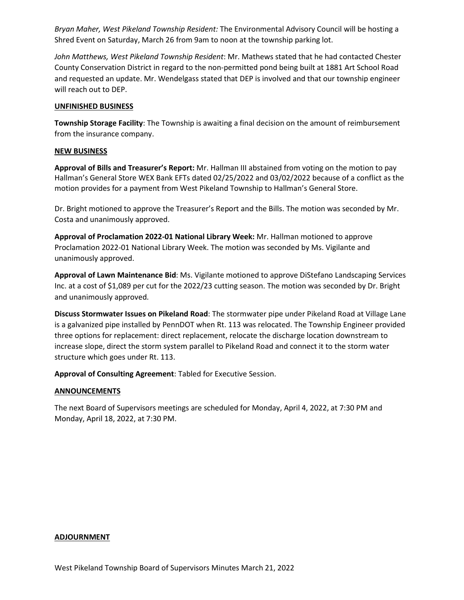*Bryan Maher, West Pikeland Township Resident:* The Environmental Advisory Council will be hosting a Shred Event on Saturday, March 26 from 9am to noon at the township parking lot.

*John Matthews, West Pikeland Township Resident*: Mr. Mathews stated that he had contacted Chester County Conservation District in regard to the non-permitted pond being built at 1881 Art School Road and requested an update. Mr. Wendelgass stated that DEP is involved and that our township engineer will reach out to DEP.

### **UNFINISHED BUSINESS**

**Township Storage Facility**: The Township is awaiting a final decision on the amount of reimbursement from the insurance company.

### **NEW BUSINESS**

**Approval of Bills and Treasurer's Report:** Mr. Hallman III abstained from voting on the motion to pay Hallman's General Store WEX Bank EFTs dated 02/25/2022 and 03/02/2022 because of a conflict as the motion provides for a payment from West Pikeland Township to Hallman's General Store.

Dr. Bright motioned to approve the Treasurer's Report and the Bills. The motion was seconded by Mr. Costa and unanimously approved.

**Approval of Proclamation 2022-01 National Library Week:** Mr. Hallman motioned to approve Proclamation 2022-01 National Library Week. The motion was seconded by Ms. Vigilante and unanimously approved.

**Approval of Lawn Maintenance Bid**: Ms. Vigilante motioned to approve DiStefano Landscaping Services Inc. at a cost of \$1,089 per cut for the 2022/23 cutting season. The motion was seconded by Dr. Bright and unanimously approved.

**Discuss Stormwater Issues on Pikeland Road**: The stormwater pipe under Pikeland Road at Village Lane is a galvanized pipe installed by PennDOT when Rt. 113 was relocated. The Township Engineer provided three options for replacement: direct replacement, relocate the discharge location downstream to increase slope, direct the storm system parallel to Pikeland Road and connect it to the storm water structure which goes under Rt. 113.

**Approval of Consulting Agreement**: Tabled for Executive Session.

## **ANNOUNCEMENTS**

The next Board of Supervisors meetings are scheduled for Monday, April 4, 2022, at 7:30 PM and Monday, April 18, 2022, at 7:30 PM.

#### **ADJOURNMENT**